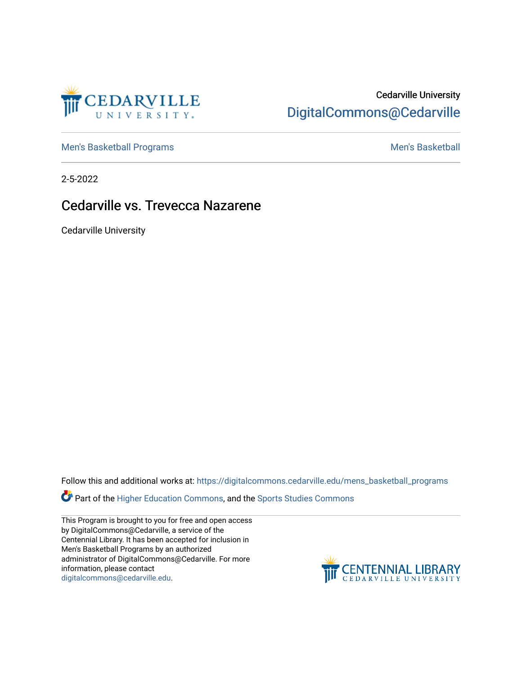

## Cedarville University [DigitalCommons@Cedarville](https://digitalcommons.cedarville.edu/)

[Men's Basketball Programs](https://digitalcommons.cedarville.edu/mens_basketball_programs) and The Control of the [Men's Basketball](https://digitalcommons.cedarville.edu/mens_basketball) Men's Basketball

2-5-2022

## Cedarville vs. Trevecca Nazarene

Cedarville University

Follow this and additional works at: [https://digitalcommons.cedarville.edu/mens\\_basketball\\_programs](https://digitalcommons.cedarville.edu/mens_basketball_programs?utm_source=digitalcommons.cedarville.edu%2Fmens_basketball_programs%2F153&utm_medium=PDF&utm_campaign=PDFCoverPages) 

**Part of the [Higher Education Commons,](http://network.bepress.com/hgg/discipline/1245?utm_source=digitalcommons.cedarville.edu%2Fmens_basketball_programs%2F153&utm_medium=PDF&utm_campaign=PDFCoverPages) and the Sports Studies Commons** 

This Program is brought to you for free and open access by DigitalCommons@Cedarville, a service of the Centennial Library. It has been accepted for inclusion in Men's Basketball Programs by an authorized administrator of DigitalCommons@Cedarville. For more information, please contact [digitalcommons@cedarville.edu](mailto:digitalcommons@cedarville.edu).

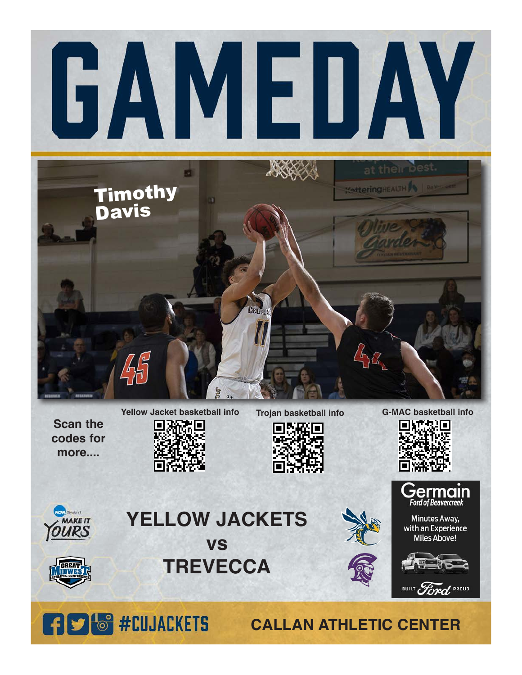



## **YELLOW JACKETS vs**



**TREVECCA**



Minutes Away, with an Experience **Miles Above!** 



BUILT Ford PROUD



**CALLAN ATHLETIC CENTER**